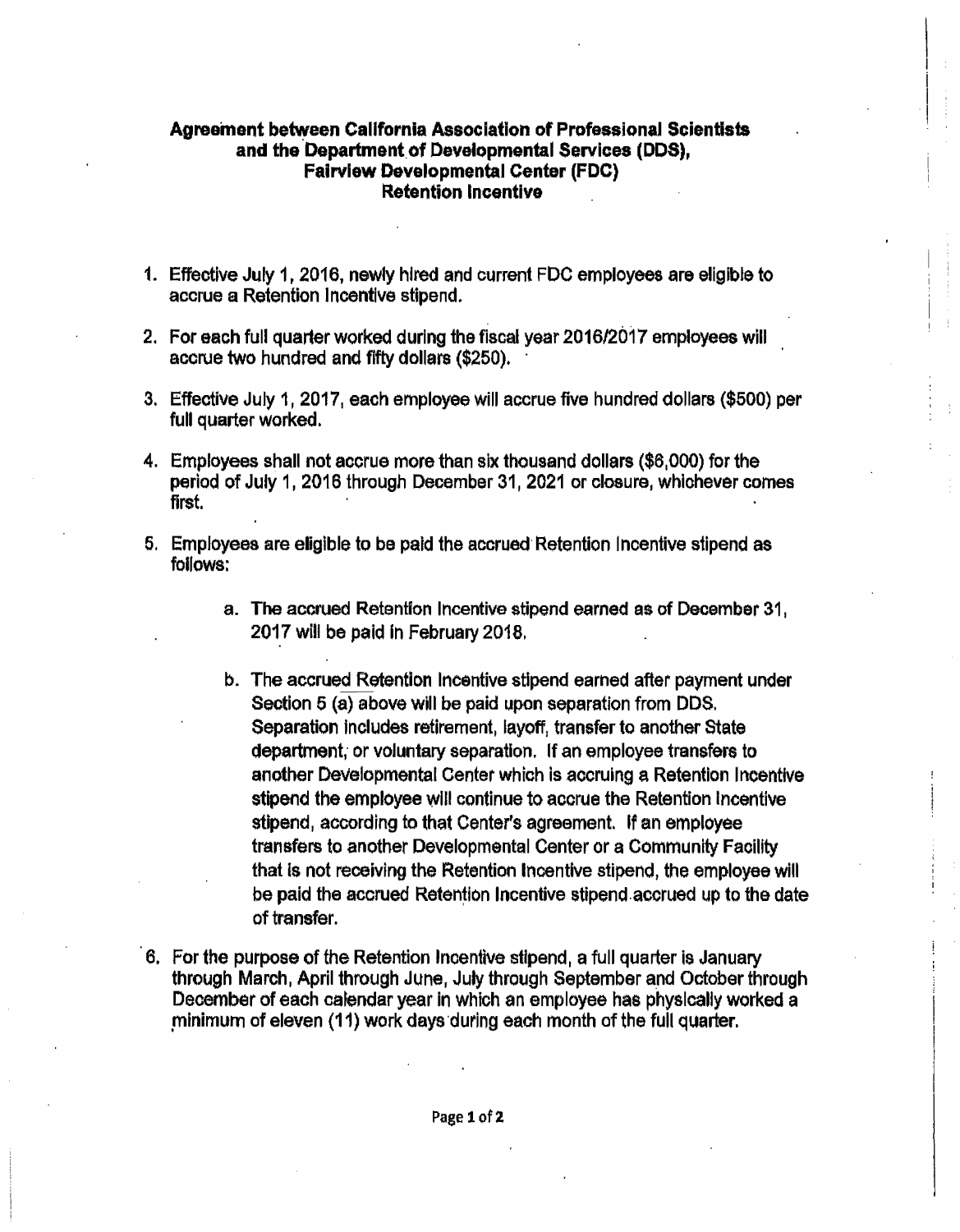## **Agreement between California Association of Professional Scientists**  and the Department of Developmental Services (DDS). **Fairview Developmental Center** (FDC) **~etention Incentive**

- 1. Effective July 1, 2016, newly hired and current FDC employees are eligible to accrue a Retention Incentive stipend.
- 2. For each full quarter worked during the fiscal year 2016/2017 employees will accrue two hundred and fifty dollars (\$250).
- 3. Effective July 1, 2017, each employee will accrue five hundred dollars (\$500) per full quarter worked.
- 4. Employees shall not accrue more than six thousand dollars (\$6,000) for the period of July 1, 2016 through December 31, 2021 or closure, whiohever comes first.
- 5. Employees are eligible to be paid the accrued Retention Incentive stipend as follows:
	- a. The accrued Retention Incentive stipend earned as of December 31, 2017 will be paid In February 2018.
	- b. The accrued Retention Incentive stipend earned after payment under Section 5 (a) above will be paid upon separation from DDS. Separation includes retirement, layoff, transfer to another State department, or voluntary separation. If an employee transfers to another Developmental Center which is accruing a Retention Incentive stipend the employee will continue to accrue the Retention Incentive stipend, according to that Center's agreement. If an employee transfers to another Developmental Center or a Community Facility that is not receiving the Retention Incentive stipend, the employee will be paid the accrued Retention Incentive stipend accrued up to the date of transfer.
- 6. For the purpose of the Retention Incentive stipend, a full quarter is January through March, April through June, July through September a\_nd October through December of each calendar year in which an employee has physically worked a minimum of eleven (11) work days during each month of the full quarter.